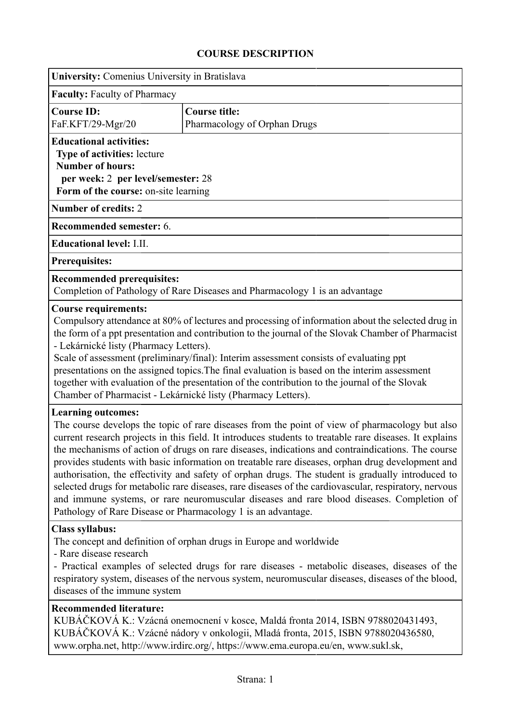## **COURSE DESCRIPTION**

| <b>University:</b> Comenius University in Bratislava                                                                                                                                                                                                                                                                                                             |                                                                                                                                                                                                                                                                                                                                                                                                                                                                                                                                                                                                                                                                                                                                                                                               |  |  |  |  |  |
|------------------------------------------------------------------------------------------------------------------------------------------------------------------------------------------------------------------------------------------------------------------------------------------------------------------------------------------------------------------|-----------------------------------------------------------------------------------------------------------------------------------------------------------------------------------------------------------------------------------------------------------------------------------------------------------------------------------------------------------------------------------------------------------------------------------------------------------------------------------------------------------------------------------------------------------------------------------------------------------------------------------------------------------------------------------------------------------------------------------------------------------------------------------------------|--|--|--|--|--|
| <b>Faculty: Faculty of Pharmacy</b>                                                                                                                                                                                                                                                                                                                              |                                                                                                                                                                                                                                                                                                                                                                                                                                                                                                                                                                                                                                                                                                                                                                                               |  |  |  |  |  |
| <b>Course ID:</b><br>FaF.KFT/29-Mgr/20                                                                                                                                                                                                                                                                                                                           | <b>Course title:</b><br>Pharmacology of Orphan Drugs                                                                                                                                                                                                                                                                                                                                                                                                                                                                                                                                                                                                                                                                                                                                          |  |  |  |  |  |
| <b>Educational activities:</b><br>Type of activities: lecture<br><b>Number of hours:</b><br>per week: 2 per level/semester: 28<br>Form of the course: on-site learning                                                                                                                                                                                           |                                                                                                                                                                                                                                                                                                                                                                                                                                                                                                                                                                                                                                                                                                                                                                                               |  |  |  |  |  |
| <b>Number of credits: 2</b>                                                                                                                                                                                                                                                                                                                                      |                                                                                                                                                                                                                                                                                                                                                                                                                                                                                                                                                                                                                                                                                                                                                                                               |  |  |  |  |  |
| <b>Recommended semester: 6.</b>                                                                                                                                                                                                                                                                                                                                  |                                                                                                                                                                                                                                                                                                                                                                                                                                                                                                                                                                                                                                                                                                                                                                                               |  |  |  |  |  |
| <b>Educational level: I.II.</b>                                                                                                                                                                                                                                                                                                                                  |                                                                                                                                                                                                                                                                                                                                                                                                                                                                                                                                                                                                                                                                                                                                                                                               |  |  |  |  |  |
| <b>Prerequisites:</b>                                                                                                                                                                                                                                                                                                                                            |                                                                                                                                                                                                                                                                                                                                                                                                                                                                                                                                                                                                                                                                                                                                                                                               |  |  |  |  |  |
| <b>Recommended prerequisites:</b><br>Completion of Pathology of Rare Diseases and Pharmacology 1 is an advantage                                                                                                                                                                                                                                                 |                                                                                                                                                                                                                                                                                                                                                                                                                                                                                                                                                                                                                                                                                                                                                                                               |  |  |  |  |  |
| - Lekárnické listy (Pharmacy Letters).<br><b>Learning outcomes:</b>                                                                                                                                                                                                                                                                                              | Compulsory attendance at 80% of lectures and processing of information about the selected drug in<br>the form of a ppt presentation and contribution to the journal of the Slovak Chamber of Pharmacist<br>Scale of assessment (preliminary/final): Interim assessment consists of evaluating ppt<br>presentations on the assigned topics. The final evaluation is based on the interim assessment<br>together with evaluation of the presentation of the contribution to the journal of the Slovak<br>Chamber of Pharmacist - Lekárnické listy (Pharmacy Letters).                                                                                                                                                                                                                           |  |  |  |  |  |
|                                                                                                                                                                                                                                                                                                                                                                  | The course develops the topic of rare diseases from the point of view of pharmacology but also<br>current research projects in this field. It introduces students to treatable rare diseases. It explains<br>the mechanisms of action of drugs on rare diseases, indications and contraindications. The course<br>provides students with basic information on treatable rare diseases, orphan drug development and<br>authorisation, the effectivity and safety of orphan drugs. The student is gradually introduced to<br>selected drugs for metabolic rare diseases, rare diseases of the cardiovascular, respiratory, nervous<br>and immune systems, or rare neuromuscular diseases and rare blood diseases. Completion of<br>Pathology of Rare Disease or Pharmacology 1 is an advantage. |  |  |  |  |  |
| <b>Class syllabus:</b><br>The concept and definition of orphan drugs in Europe and worldwide<br>- Rare disease research<br>- Practical examples of selected drugs for rare diseases - metabolic diseases, diseases of the<br>respiratory system, diseases of the nervous system, neuromuscular diseases, diseases of the blood,<br>diseases of the immune system |                                                                                                                                                                                                                                                                                                                                                                                                                                                                                                                                                                                                                                                                                                                                                                                               |  |  |  |  |  |
| <b>Recommended literature:</b>                                                                                                                                                                                                                                                                                                                                   | KUBÁČKOVÁ K.: Vzácná onemocnení v kosce, Maldá fronta 2014, ISBN 9788020431493,<br>KUBÁČKOVÁ K.: Vzácné nádory v onkologii, Mladá fronta, 2015, ISBN 9788020436580,<br>www.orpha.net, http://www.irdirc.org/, https://www.ema.europa.eu/en, www.sukl.sk,                                                                                                                                                                                                                                                                                                                                                                                                                                                                                                                                      |  |  |  |  |  |